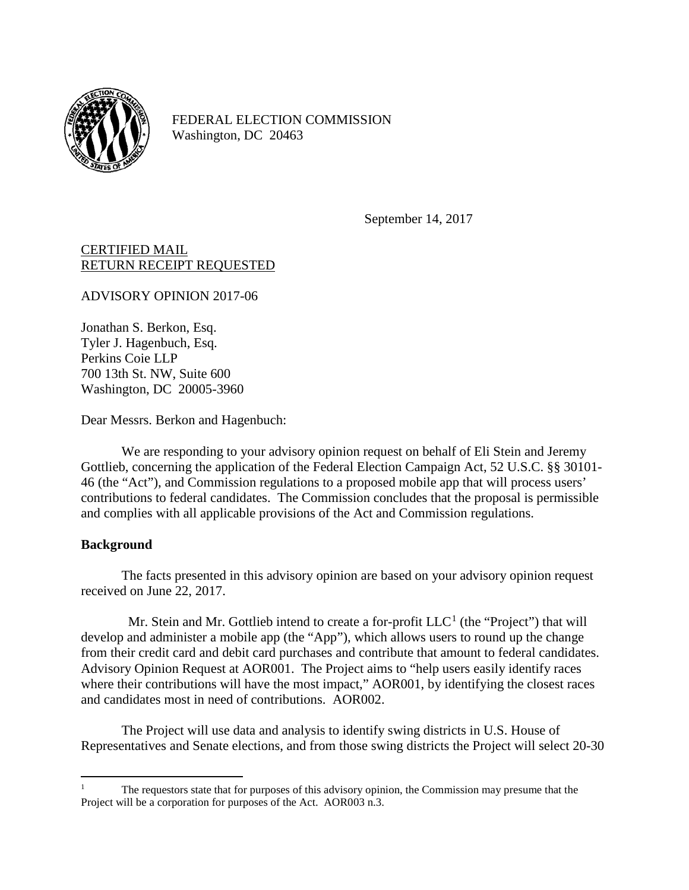

FEDERAL ELECTION COMMISSION Washington, DC 20463

September 14, 2017

## CERTIFIED MAIL RETURN RECEIPT REQUESTED

ADVISORY OPINION 2017-06

Jonathan S. Berkon, Esq. Tyler J. Hagenbuch, Esq. Perkins Coie LLP 700 13th St. NW, Suite 600 Washington, DC 20005-3960

Dear Messrs. Berkon and Hagenbuch:

We are responding to your advisory opinion request on behalf of Eli Stein and Jeremy Gottlieb, concerning the application of the Federal Election Campaign Act, 52 U.S.C. §§ 30101- 46 (the "Act"), and Commission regulations to a proposed mobile app that will process users' contributions to federal candidates. The Commission concludes that the proposal is permissible and complies with all applicable provisions of the Act and Commission regulations.

# **Background**

The facts presented in this advisory opinion are based on your advisory opinion request received on June 22, 2017.

Mr. Stein and Mr. Gottlieb intend to create a for-profit  $LLC<sup>1</sup>$  $LLC<sup>1</sup>$  $LLC<sup>1</sup>$  (the "Project") that will develop and administer a mobile app (the "App"), which allows users to round up the change from their credit card and debit card purchases and contribute that amount to federal candidates. Advisory Opinion Request at AOR001. The Project aims to "help users easily identify races where their contributions will have the most impact," AOR001, by identifying the closest races and candidates most in need of contributions. AOR002.

The Project will use data and analysis to identify swing districts in U.S. House of Representatives and Senate elections, and from those swing districts the Project will select 20-30

<span id="page-0-0"></span> <sup>1</sup> The requestors state that for purposes of this advisory opinion, the Commission may presume that the Project will be a corporation for purposes of the Act. AOR003 n.3.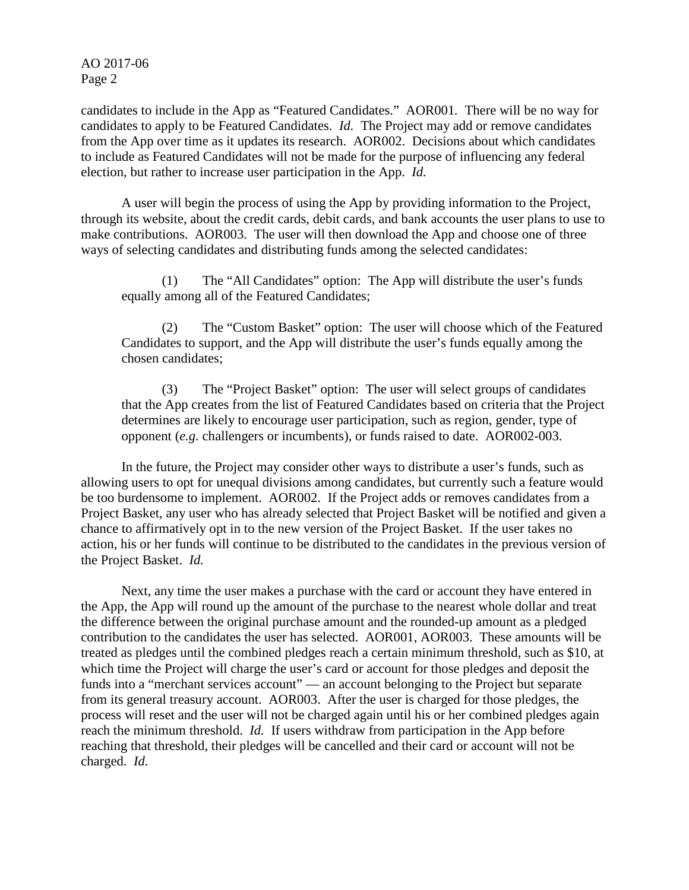candidates to include in the App as "Featured Candidates." AOR001*.* There will be no way for candidates to apply to be Featured Candidates. *Id.* The Project may add or remove candidates from the App over time as it updates its research. AOR002. Decisions about which candidates to include as Featured Candidates will not be made for the purpose of influencing any federal election, but rather to increase user participation in the App. *Id.*

A user will begin the process of using the App by providing information to the Project, through its website, about the credit cards, debit cards, and bank accounts the user plans to use to make contributions. AOR003. The user will then download the App and choose one of three ways of selecting candidates and distributing funds among the selected candidates:

(1) The "All Candidates" option: The App will distribute the user's funds equally among all of the Featured Candidates;

(2) The "Custom Basket" option: The user will choose which of the Featured Candidates to support, and the App will distribute the user's funds equally among the chosen candidates;

(3) The "Project Basket" option: The user will select groups of candidates that the App creates from the list of Featured Candidates based on criteria that the Project determines are likely to encourage user participation, such as region, gender, type of opponent (*e.g.* challengers or incumbents), or funds raised to date. AOR002-003.

In the future, the Project may consider other ways to distribute a user's funds, such as allowing users to opt for unequal divisions among candidates, but currently such a feature would be too burdensome to implement. AOR002. If the Project adds or removes candidates from a Project Basket, any user who has already selected that Project Basket will be notified and given a chance to affirmatively opt in to the new version of the Project Basket. If the user takes no action, his or her funds will continue to be distributed to the candidates in the previous version of the Project Basket. *Id.*

Next, any time the user makes a purchase with the card or account they have entered in the App, the App will round up the amount of the purchase to the nearest whole dollar and treat the difference between the original purchase amount and the rounded-up amount as a pledged contribution to the candidates the user has selected. AOR001, AOR003. These amounts will be treated as pledges until the combined pledges reach a certain minimum threshold, such as \$10, at which time the Project will charge the user's card or account for those pledges and deposit the funds into a "merchant services account" — an account belonging to the Project but separate from its general treasury account. AOR003. After the user is charged for those pledges, the process will reset and the user will not be charged again until his or her combined pledges again reach the minimum threshold. *Id.* If users withdraw from participation in the App before reaching that threshold, their pledges will be cancelled and their card or account will not be charged. *Id.*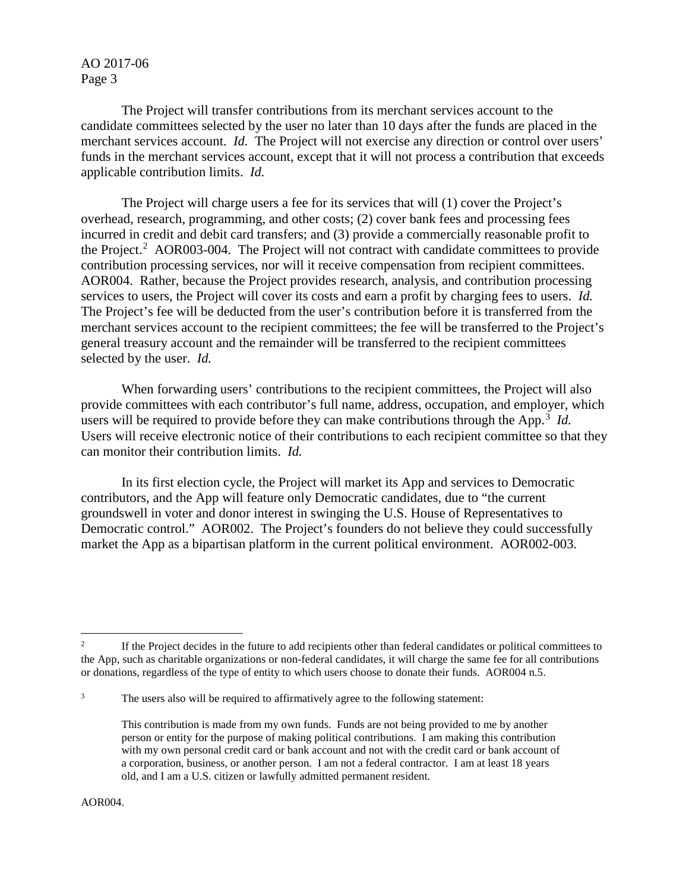The Project will transfer contributions from its merchant services account to the candidate committees selected by the user no later than 10 days after the funds are placed in the merchant services account. *Id.* The Project will not exercise any direction or control over users' funds in the merchant services account, except that it will not process a contribution that exceeds applicable contribution limits. *Id.*

The Project will charge users a fee for its services that will (1) cover the Project's overhead, research, programming, and other costs; (2) cover bank fees and processing fees incurred in credit and debit card transfers; and (3) provide a commercially reasonable profit to the Project.<sup>[2](#page-2-0)</sup> AOR003-004. The Project will not contract with candidate committees to provide contribution processing services, nor will it receive compensation from recipient committees. AOR004. Rather, because the Project provides research, analysis, and contribution processing services to users, the Project will cover its costs and earn a profit by charging fees to users. *Id.* The Project's fee will be deducted from the user's contribution before it is transferred from the merchant services account to the recipient committees; the fee will be transferred to the Project's general treasury account and the remainder will be transferred to the recipient committees selected by the user. *Id.*

When forwarding users' contributions to the recipient committees, the Project will also provide committees with each contributor's full name, address, occupation, and employer, which users will be required to provide before they can make contributions through the App. [3](#page-2-1) *Id.* Users will receive electronic notice of their contributions to each recipient committee so that they can monitor their contribution limits. *Id.*

In its first election cycle, the Project will market its App and services to Democratic contributors, and the App will feature only Democratic candidates, due to "the current groundswell in voter and donor interest in swinging the U.S. House of Representatives to Democratic control." AOR002. The Project's founders do not believe they could successfully market the App as a bipartisan platform in the current political environment. AOR002-003.

<span id="page-2-0"></span><sup>&</sup>lt;sup>2</sup> If the Project decides in the future to add recipients other than federal candidates or political committees to the App, such as charitable organizations or non-federal candidates, it will charge the same fee for all contributions or donations, regardless of the type of entity to which users choose to donate their funds. AOR004 n.5.

<span id="page-2-1"></span><sup>&</sup>lt;sup>3</sup> The users also will be required to affirmatively agree to the following statement:

This contribution is made from my own funds. Funds are not being provided to me by another person or entity for the purpose of making political contributions. I am making this contribution with my own personal credit card or bank account and not with the credit card or bank account of a corporation, business, or another person. I am not a federal contractor. I am at least 18 years old, and I am a U.S. citizen or lawfully admitted permanent resident.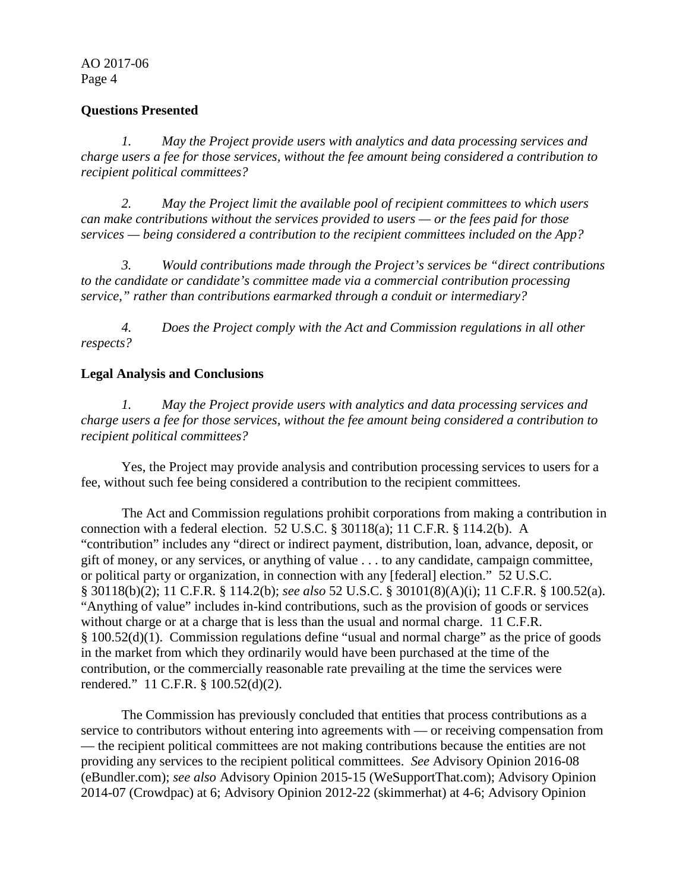## **Questions Presented**

*1. May the Project provide users with analytics and data processing services and charge users a fee for those services, without the fee amount being considered a contribution to recipient political committees?*

*2. May the Project limit the available pool of recipient committees to which users can make contributions without the services provided to users — or the fees paid for those services — being considered a contribution to the recipient committees included on the App?*

*3. Would contributions made through the Project's services be "direct contributions to the candidate or candidate's committee made via a commercial contribution processing service," rather than contributions earmarked through a conduit or intermediary?*

*4. Does the Project comply with the Act and Commission regulations in all other respects?*

## **Legal Analysis and Conclusions**

*1. May the Project provide users with analytics and data processing services and charge users a fee for those services, without the fee amount being considered a contribution to recipient political committees?*

Yes, the Project may provide analysis and contribution processing services to users for a fee, without such fee being considered a contribution to the recipient committees.

The Act and Commission regulations prohibit corporations from making a contribution in connection with a federal election. 52 U.S.C. § 30118(a); 11 C.F.R. § 114.2(b). A "contribution" includes any "direct or indirect payment, distribution, loan, advance, deposit, or gift of money, or any services, or anything of value . . . to any candidate, campaign committee, or political party or organization, in connection with any [federal] election." 52 U.S.C. § 30118(b)(2); 11 C.F.R. § 114.2(b); *see also* 52 U.S.C. § 30101(8)(A)(i); 11 C.F.R. § 100.52(a). "Anything of value" includes in-kind contributions, such as the provision of goods or services without charge or at a charge that is less than the usual and normal charge. 11 C.F.R. § 100.52(d)(1). Commission regulations define "usual and normal charge" as the price of goods in the market from which they ordinarily would have been purchased at the time of the contribution, or the commercially reasonable rate prevailing at the time the services were rendered." 11 C.F.R. § 100.52(d)(2).

The Commission has previously concluded that entities that process contributions as a service to contributors without entering into agreements with — or receiving compensation from — the recipient political committees are not making contributions because the entities are not providing any services to the recipient political committees. *See* Advisory Opinion 2016-08 (eBundler.com); *see also* Advisory Opinion 2015-15 (WeSupportThat.com); Advisory Opinion 2014-07 (Crowdpac) at 6; Advisory Opinion 2012-22 (skimmerhat) at 4-6; Advisory Opinion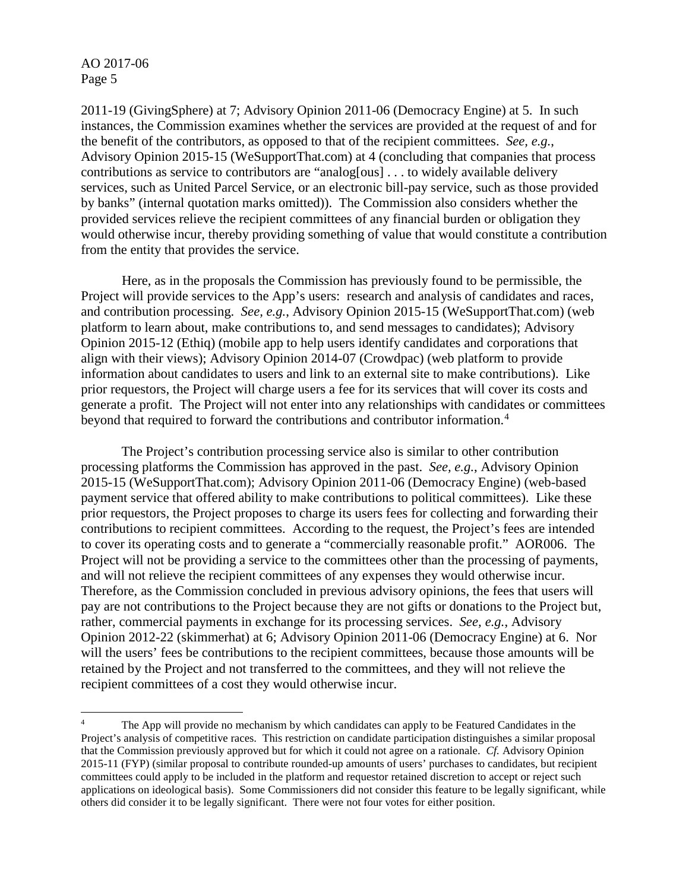2011-19 (GivingSphere) at 7; Advisory Opinion 2011-06 (Democracy Engine) at 5. In such instances, the Commission examines whether the services are provided at the request of and for the benefit of the contributors, as opposed to that of the recipient committees. *See, e.g.*, Advisory Opinion 2015-15 (WeSupportThat.com) at 4 (concluding that companies that process contributions as service to contributors are "analog[ous] . . . to widely available delivery services, such as United Parcel Service, or an electronic bill-pay service, such as those provided by banks" (internal quotation marks omitted)). The Commission also considers whether the provided services relieve the recipient committees of any financial burden or obligation they would otherwise incur, thereby providing something of value that would constitute a contribution from the entity that provides the service.

Here, as in the proposals the Commission has previously found to be permissible, the Project will provide services to the App's users: research and analysis of candidates and races, and contribution processing. *See, e.g.*, Advisory Opinion 2015-15 (WeSupportThat.com) (web platform to learn about, make contributions to, and send messages to candidates); Advisory Opinion 2015-12 (Ethiq) (mobile app to help users identify candidates and corporations that align with their views); Advisory Opinion 2014-07 (Crowdpac) (web platform to provide information about candidates to users and link to an external site to make contributions). Like prior requestors, the Project will charge users a fee for its services that will cover its costs and generate a profit. The Project will not enter into any relationships with candidates or committees beyond that required to forward the contributions and contributor information. [4](#page-4-0)

The Project's contribution processing service also is similar to other contribution processing platforms the Commission has approved in the past. *See, e.g.*, Advisory Opinion 2015-15 (WeSupportThat.com); Advisory Opinion 2011-06 (Democracy Engine) (web-based payment service that offered ability to make contributions to political committees). Like these prior requestors, the Project proposes to charge its users fees for collecting and forwarding their contributions to recipient committees. According to the request, the Project's fees are intended to cover its operating costs and to generate a "commercially reasonable profit." AOR006. The Project will not be providing a service to the committees other than the processing of payments, and will not relieve the recipient committees of any expenses they would otherwise incur. Therefore, as the Commission concluded in previous advisory opinions, the fees that users will pay are not contributions to the Project because they are not gifts or donations to the Project but, rather, commercial payments in exchange for its processing services. *See, e.g.*, Advisory Opinion 2012-22 (skimmerhat) at 6; Advisory Opinion 2011-06 (Democracy Engine) at 6. Nor will the users' fees be contributions to the recipient committees, because those amounts will be retained by the Project and not transferred to the committees, and they will not relieve the recipient committees of a cost they would otherwise incur.

<span id="page-4-0"></span><sup>&</sup>lt;sup>4</sup> The App will provide no mechanism by which candidates can apply to be Featured Candidates in the Project's analysis of competitive races. This restriction on candidate participation distinguishes a similar proposal that the Commission previously approved but for which it could not agree on a rationale. *Cf.* Advisory Opinion 2015-11 (FYP) (similar proposal to contribute rounded-up amounts of users' purchases to candidates, but recipient committees could apply to be included in the platform and requestor retained discretion to accept or reject such applications on ideological basis). Some Commissioners did not consider this feature to be legally significant, while others did consider it to be legally significant. There were not four votes for either position.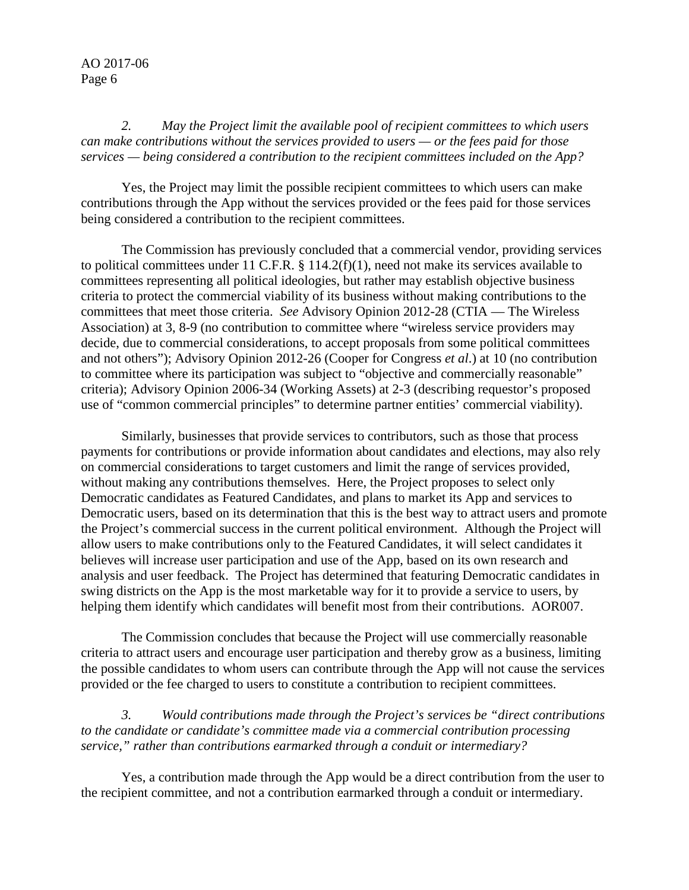*2. May the Project limit the available pool of recipient committees to which users can make contributions without the services provided to users — or the fees paid for those services — being considered a contribution to the recipient committees included on the App?*

Yes, the Project may limit the possible recipient committees to which users can make contributions through the App without the services provided or the fees paid for those services being considered a contribution to the recipient committees.

The Commission has previously concluded that a commercial vendor, providing services to political committees under 11 C.F.R.  $\S$  114.2(f)(1), need not make its services available to committees representing all political ideologies, but rather may establish objective business criteria to protect the commercial viability of its business without making contributions to the committees that meet those criteria. *See* Advisory Opinion 2012-28 (CTIA — The Wireless Association) at 3, 8-9 (no contribution to committee where "wireless service providers may decide, due to commercial considerations, to accept proposals from some political committees and not others"); Advisory Opinion 2012-26 (Cooper for Congress *et al*.) at 10 (no contribution to committee where its participation was subject to "objective and commercially reasonable" criteria); Advisory Opinion 2006-34 (Working Assets) at 2-3 (describing requestor's proposed use of "common commercial principles" to determine partner entities' commercial viability).

Similarly, businesses that provide services to contributors, such as those that process payments for contributions or provide information about candidates and elections, may also rely on commercial considerations to target customers and limit the range of services provided, without making any contributions themselves. Here, the Project proposes to select only Democratic candidates as Featured Candidates, and plans to market its App and services to Democratic users, based on its determination that this is the best way to attract users and promote the Project's commercial success in the current political environment. Although the Project will allow users to make contributions only to the Featured Candidates, it will select candidates it believes will increase user participation and use of the App, based on its own research and analysis and user feedback. The Project has determined that featuring Democratic candidates in swing districts on the App is the most marketable way for it to provide a service to users, by helping them identify which candidates will benefit most from their contributions. AOR007.

The Commission concludes that because the Project will use commercially reasonable criteria to attract users and encourage user participation and thereby grow as a business, limiting the possible candidates to whom users can contribute through the App will not cause the services provided or the fee charged to users to constitute a contribution to recipient committees.

*3. Would contributions made through the Project's services be "direct contributions to the candidate or candidate's committee made via a commercial contribution processing service," rather than contributions earmarked through a conduit or intermediary?*

Yes, a contribution made through the App would be a direct contribution from the user to the recipient committee, and not a contribution earmarked through a conduit or intermediary.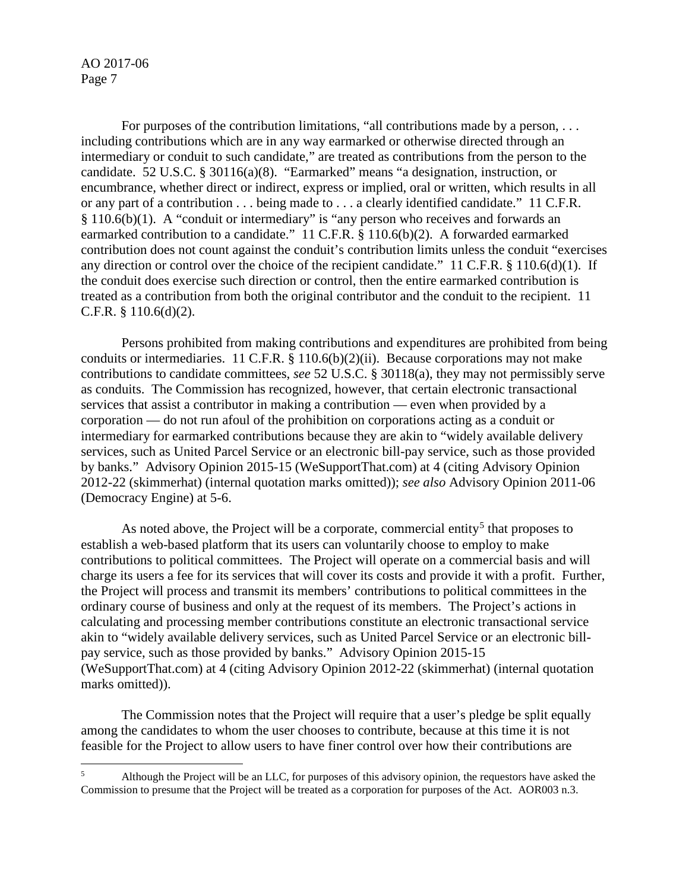For purposes of the contribution limitations, "all contributions made by a person, ... including contributions which are in any way earmarked or otherwise directed through an intermediary or conduit to such candidate," are treated as contributions from the person to the candidate. 52 U.S.C. § 30116(a)(8). "Earmarked" means "a designation, instruction, or encumbrance, whether direct or indirect, express or implied, oral or written, which results in all or any part of a contribution . . . being made to . . . a clearly identified candidate." 11 C.F.R. § 110.6(b)(1). A "conduit or intermediary" is "any person who receives and forwards an earmarked contribution to a candidate." 11 C.F.R. § 110.6(b)(2). A forwarded earmarked contribution does not count against the conduit's contribution limits unless the conduit "exercises any direction or control over the choice of the recipient candidate." 11 C.F.R. § 110.6(d)(1). If the conduit does exercise such direction or control, then the entire earmarked contribution is treated as a contribution from both the original contributor and the conduit to the recipient. 11 C.F.R. § 110.6(d)(2).

Persons prohibited from making contributions and expenditures are prohibited from being conduits or intermediaries. 11 C.F.R. § 110.6(b)(2)(ii). Because corporations may not make contributions to candidate committees, *see* 52 U.S.C. § 30118(a), they may not permissibly serve as conduits. The Commission has recognized, however, that certain electronic transactional services that assist a contributor in making a contribution — even when provided by a corporation — do not run afoul of the prohibition on corporations acting as a conduit or intermediary for earmarked contributions because they are akin to "widely available delivery services, such as United Parcel Service or an electronic bill-pay service, such as those provided by banks." Advisory Opinion 2015-15 (WeSupportThat.com) at 4 (citing Advisory Opinion 2012-22 (skimmerhat) (internal quotation marks omitted)); *see also* Advisory Opinion 2011-06 (Democracy Engine) at 5-6.

As noted above, the Project will be a corporate, commercial entity<sup>[5](#page-6-0)</sup> that proposes to establish a web-based platform that its users can voluntarily choose to employ to make contributions to political committees. The Project will operate on a commercial basis and will charge its users a fee for its services that will cover its costs and provide it with a profit. Further, the Project will process and transmit its members' contributions to political committees in the ordinary course of business and only at the request of its members. The Project's actions in calculating and processing member contributions constitute an electronic transactional service akin to "widely available delivery services, such as United Parcel Service or an electronic billpay service, such as those provided by banks." Advisory Opinion 2015-15 (WeSupportThat.com) at 4 (citing Advisory Opinion 2012-22 (skimmerhat) (internal quotation marks omitted)).

The Commission notes that the Project will require that a user's pledge be split equally among the candidates to whom the user chooses to contribute, because at this time it is not feasible for the Project to allow users to have finer control over how their contributions are

<span id="page-6-0"></span><sup>&</sup>lt;sup>5</sup> Although the Project will be an LLC, for purposes of this advisory opinion, the requestors have asked the Commission to presume that the Project will be treated as a corporation for purposes of the Act. AOR003 n.3.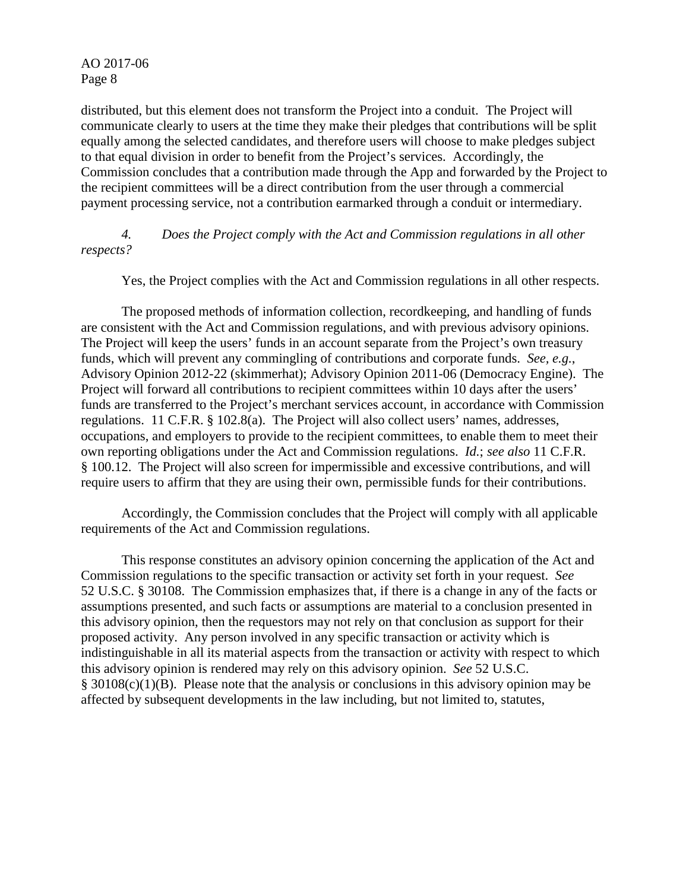distributed, but this element does not transform the Project into a conduit. The Project will communicate clearly to users at the time they make their pledges that contributions will be split equally among the selected candidates, and therefore users will choose to make pledges subject to that equal division in order to benefit from the Project's services. Accordingly, the Commission concludes that a contribution made through the App and forwarded by the Project to the recipient committees will be a direct contribution from the user through a commercial payment processing service, not a contribution earmarked through a conduit or intermediary.

*4. Does the Project comply with the Act and Commission regulations in all other respects?*

Yes, the Project complies with the Act and Commission regulations in all other respects.

The proposed methods of information collection, recordkeeping, and handling of funds are consistent with the Act and Commission regulations, and with previous advisory opinions. The Project will keep the users' funds in an account separate from the Project's own treasury funds, which will prevent any commingling of contributions and corporate funds. *See, e.g.*, Advisory Opinion 2012-22 (skimmerhat); Advisory Opinion 2011-06 (Democracy Engine). The Project will forward all contributions to recipient committees within 10 days after the users' funds are transferred to the Project's merchant services account, in accordance with Commission regulations. 11 C.F.R. § 102.8(a). The Project will also collect users' names, addresses, occupations, and employers to provide to the recipient committees, to enable them to meet their own reporting obligations under the Act and Commission regulations. *Id.*; *see also* 11 C.F.R. § 100.12. The Project will also screen for impermissible and excessive contributions, and will require users to affirm that they are using their own, permissible funds for their contributions.

Accordingly, the Commission concludes that the Project will comply with all applicable requirements of the Act and Commission regulations.

This response constitutes an advisory opinion concerning the application of the Act and Commission regulations to the specific transaction or activity set forth in your request. *See* 52 U.S.C. § 30108. The Commission emphasizes that, if there is a change in any of the facts or assumptions presented, and such facts or assumptions are material to a conclusion presented in this advisory opinion, then the requestors may not rely on that conclusion as support for their proposed activity. Any person involved in any specific transaction or activity which is indistinguishable in all its material aspects from the transaction or activity with respect to which this advisory opinion is rendered may rely on this advisory opinion. *See* 52 U.S.C. § 30108(c)(1)(B). Please note that the analysis or conclusions in this advisory opinion may be affected by subsequent developments in the law including, but not limited to, statutes,